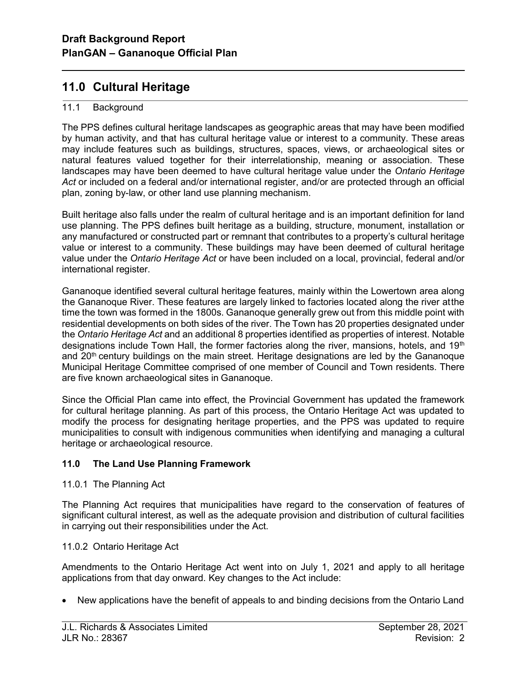# 11.0 Cultural Heritage

## 11.1 Background

l

The PPS defines cultural heritage landscapes as geographic areas that may have been modified by human activity, and that has cultural heritage value or interest to a community. These areas may include features such as buildings, structures, spaces, views, or archaeological sites or natural features valued together for their interrelationship, meaning or association. These landscapes may have been deemed to have cultural heritage value under the Ontario Heritage Act or included on a federal and/or international register, and/or are protected through an official plan, zoning by-law, or other land use planning mechanism.

Built heritage also falls under the realm of cultural heritage and is an important definition for land use planning. The PPS defines built heritage as a building, structure, monument, installation or any manufactured or constructed part or remnant that contributes to a property's cultural heritage value or interest to a community. These buildings may have been deemed of cultural heritage value under the Ontario Heritage Act or have been included on a local, provincial, federal and/or international register.

Gananoque identified several cultural heritage features, mainly within the Lowertown area along the Gananoque River. These features are largely linked to factories located along the river at the time the town was formed in the 1800s. Gananoque generally grew out from this middle point with residential developments on both sides of the river. The Town has 20 properties designated under the Ontario Heritage Act and an additional 8 properties identified as properties of interest. Notable designations include Town Hall, the former factories along the river, mansions, hotels, and  $19<sup>th</sup>$ and  $20<sup>th</sup>$  century buildings on the main street. Heritage designations are led by the Gananoque Municipal Heritage Committee comprised of one member of Council and Town residents. There are five known archaeological sites in Gananoque.

Since the Official Plan came into effect, the Provincial Government has updated the framework for cultural heritage planning. As part of this process, the Ontario Heritage Act was updated to modify the process for designating heritage properties, and the PPS was updated to require municipalities to consult with indigenous communities when identifying and managing a cultural heritage or archaeological resource.

# 11.0 The Land Use Planning Framework

#### 11.0.1 The Planning Act

The Planning Act requires that municipalities have regard to the conservation of features of significant cultural interest, as well as the adequate provision and distribution of cultural facilities in carrying out their responsibilities under the Act.

#### 11.0.2 Ontario Heritage Act

Amendments to the Ontario Heritage Act went into on July 1, 2021 and apply to all heritage applications from that day onward. Key changes to the Act include:

New applications have the benefit of appeals to and binding decisions from the Ontario Land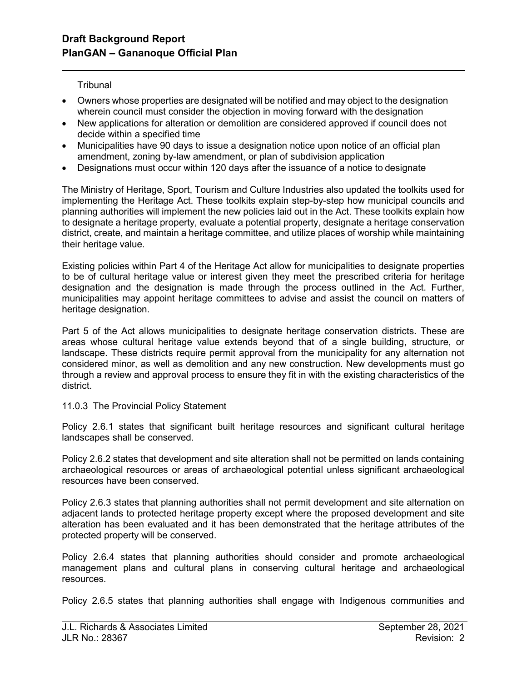**Tribunal** 

l

- Owners whose properties are designated will be notified and may object to the designation wherein council must consider the objection in moving forward with the designation
- New applications for alteration or demolition are considered approved if council does not decide within a specified time
- Municipalities have 90 days to issue a designation notice upon notice of an official plan amendment, zoning by-law amendment, or plan of subdivision application
- Designations must occur within 120 days after the issuance of a notice to designate

The Ministry of Heritage, Sport, Tourism and Culture Industries also updated the toolkits used for implementing the Heritage Act. These toolkits explain step-by-step how municipal councils and planning authorities will implement the new policies laid out in the Act. These toolkits explain how to designate a heritage property, evaluate a potential property, designate a heritage conservation district, create, and maintain a heritage committee, and utilize places of worship while maintaining their heritage value.

Existing policies within Part 4 of the Heritage Act allow for municipalities to designate properties to be of cultural heritage value or interest given they meet the prescribed criteria for heritage designation and the designation is made through the process outlined in the Act. Further, municipalities may appoint heritage committees to advise and assist the council on matters of heritage designation.

Part 5 of the Act allows municipalities to designate heritage conservation districts. These are areas whose cultural heritage value extends beyond that of a single building, structure, or landscape. These districts require permit approval from the municipality for any alternation not considered minor, as well as demolition and any new construction. New developments must go through a review and approval process to ensure they fit in with the existing characteristics of the district.

11.0.3 The Provincial Policy Statement

Policy 2.6.1 states that significant built heritage resources and significant cultural heritage landscapes shall be conserved.

Policy 2.6.2 states that development and site alteration shall not be permitted on lands containing archaeological resources or areas of archaeological potential unless significant archaeological resources have been conserved.

Policy 2.6.3 states that planning authorities shall not permit development and site alternation on adjacent lands to protected heritage property except where the proposed development and site alteration has been evaluated and it has been demonstrated that the heritage attributes of the protected property will be conserved.

Policy 2.6.4 states that planning authorities should consider and promote archaeological management plans and cultural plans in conserving cultural heritage and archaeological resources.

Policy 2.6.5 states that planning authorities shall engage with Indigenous communities and